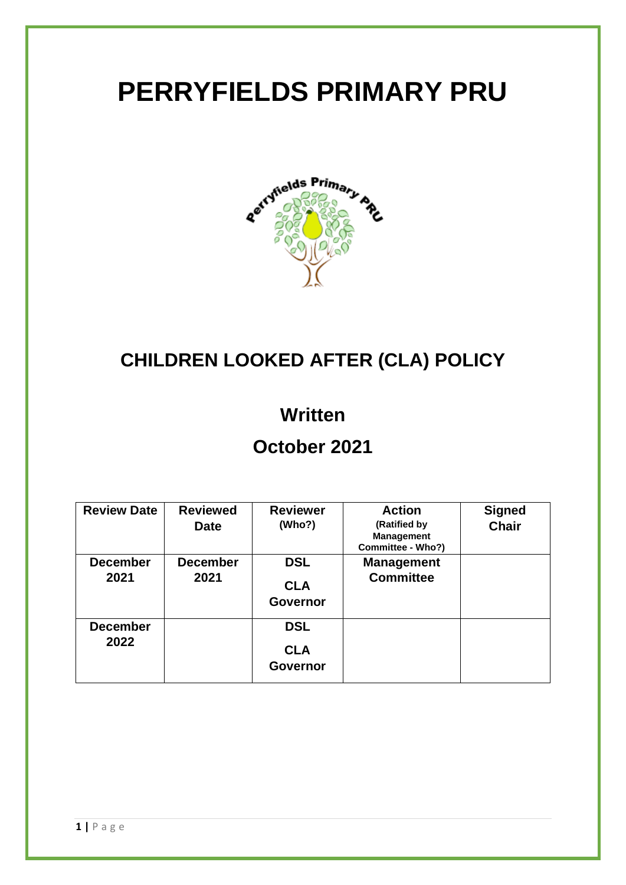# **PERRYFIELDS PRIMARY PRU**



## **CHILDREN LOOKED AFTER (CLA) POLICY**

### **Written**

## **October 2021**

| <b>Review Date</b>      | <b>Reviewed</b><br><b>Date</b> | <b>Reviewer</b><br>(Who?)                   | <b>Action</b><br>(Ratified by<br><b>Management</b><br>Committee - Who?) | <b>Signed</b><br><b>Chair</b> |
|-------------------------|--------------------------------|---------------------------------------------|-------------------------------------------------------------------------|-------------------------------|
| <b>December</b><br>2021 | <b>December</b><br>2021        | <b>DSL</b><br><b>CLA</b><br><b>Governor</b> | <b>Management</b><br><b>Committee</b>                                   |                               |
| <b>December</b><br>2022 |                                | <b>DSL</b><br><b>CLA</b><br><b>Governor</b> |                                                                         |                               |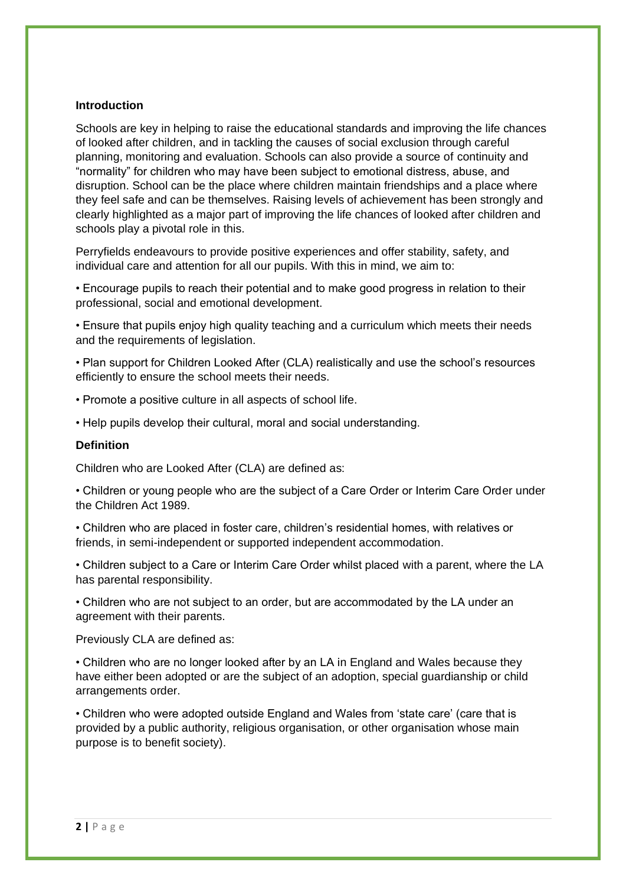#### **Introduction**

Schools are key in helping to raise the educational standards and improving the life chances of looked after children, and in tackling the causes of social exclusion through careful planning, monitoring and evaluation. Schools can also provide a source of continuity and "normality" for children who may have been subject to emotional distress, abuse, and disruption. School can be the place where children maintain friendships and a place where they feel safe and can be themselves. Raising levels of achievement has been strongly and clearly highlighted as a major part of improving the life chances of looked after children and schools play a pivotal role in this.

Perryfields endeavours to provide positive experiences and offer stability, safety, and individual care and attention for all our pupils. With this in mind, we aim to:

• Encourage pupils to reach their potential and to make good progress in relation to their professional, social and emotional development.

• Ensure that pupils enjoy high quality teaching and a curriculum which meets their needs and the requirements of legislation.

• Plan support for Children Looked After (CLA) realistically and use the school's resources efficiently to ensure the school meets their needs.

- Promote a positive culture in all aspects of school life.
- Help pupils develop their cultural, moral and social understanding.

#### **Definition**

Children who are Looked After (CLA) are defined as:

• Children or young people who are the subject of a Care Order or Interim Care Order under the Children Act 1989.

• Children who are placed in foster care, children's residential homes, with relatives or friends, in semi-independent or supported independent accommodation.

• Children subject to a Care or Interim Care Order whilst placed with a parent, where the LA has parental responsibility.

• Children who are not subject to an order, but are accommodated by the LA under an agreement with their parents.

Previously CLA are defined as:

• Children who are no longer looked after by an LA in England and Wales because they have either been adopted or are the subject of an adoption, special guardianship or child arrangements order.

• Children who were adopted outside England and Wales from 'state care' (care that is provided by a public authority, religious organisation, or other organisation whose main purpose is to benefit society).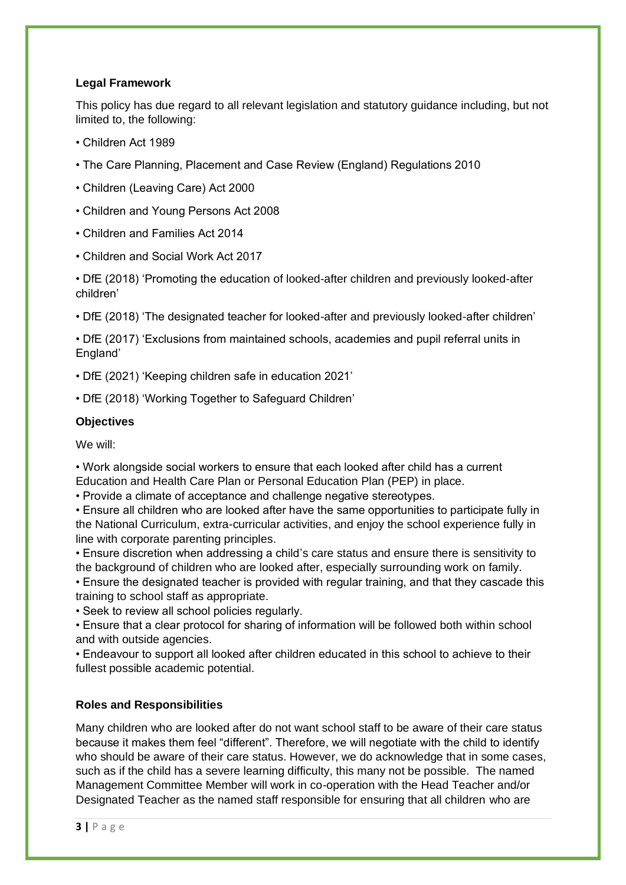#### **Legal Framework**

This policy has due regard to all relevant legislation and statutory guidance including, but not limited to, the following:

- Children Act 1989
- The Care Planning, Placement and Case Review (England) Regulations 2010
- Children (Leaving Care) Act 2000
- Children and Young Persons Act 2008
- Children and Families Act 2014
- Children and Social Work Act 2017

• DfE (2018) 'Promoting the education of looked-after children and previously looked-after children'

• DfE (2018) 'The designated teacher for looked-after and previously looked-after children'

• DfE (2017) 'Exclusions from maintained schools, academies and pupil referral units in England'

• DfE (2021) 'Keeping children safe in education 2021'

• DfE (2018) 'Working Together to Safeguard Children'

#### **Objectives**

We will:

• Work alongside social workers to ensure that each looked after child has a current Education and Health Care Plan or Personal Education Plan (PEP) in place.

• Provide a climate of acceptance and challenge negative stereotypes.

• Ensure all children who are looked after have the same opportunities to participate fully in the National Curriculum, extra-curricular activities, and enjoy the school experience fully in line with corporate parenting principles.

• Ensure discretion when addressing a child's care status and ensure there is sensitivity to the background of children who are looked after, especially surrounding work on family.

• Ensure the designated teacher is provided with regular training, and that they cascade this training to school staff as appropriate.

• Seek to review all school policies regularly.

• Ensure that a clear protocol for sharing of information will be followed both within school and with outside agencies.

• Endeavour to support all looked after children educated in this school to achieve to their fullest possible academic potential.

#### **Roles and Responsibilities**

Many children who are looked after do not want school staff to be aware of their care status because it makes them feel "different". Therefore, we will negotiate with the child to identify who should be aware of their care status. However, we do acknowledge that in some cases, such as if the child has a severe learning difficulty, this many not be possible. The named Management Committee Member will work in co-operation with the Head Teacher and/or Designated Teacher as the named staff responsible for ensuring that all children who are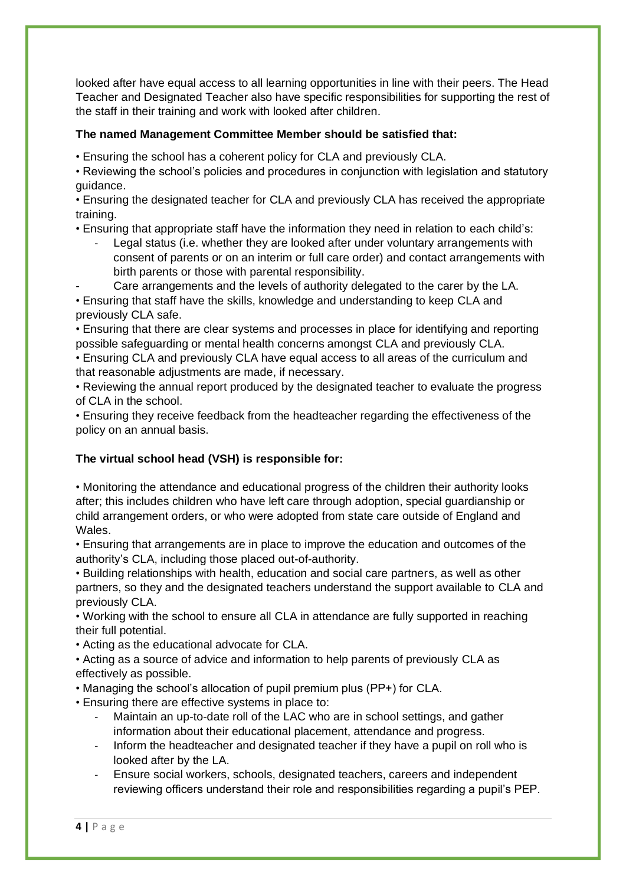looked after have equal access to all learning opportunities in line with their peers. The Head Teacher and Designated Teacher also have specific responsibilities for supporting the rest of the staff in their training and work with looked after children.

#### **The named Management Committee Member should be satisfied that:**

• Ensuring the school has a coherent policy for CLA and previously CLA.

- Reviewing the school's policies and procedures in conjunction with legislation and statutory guidance.
- Ensuring the designated teacher for CLA and previously CLA has received the appropriate training.
- Ensuring that appropriate staff have the information they need in relation to each child's:
	- Legal status (i.e. whether they are looked after under voluntary arrangements with consent of parents or on an interim or full care order) and contact arrangements with birth parents or those with parental responsibility.
	- Care arrangements and the levels of authority delegated to the carer by the LA.

• Ensuring that staff have the skills, knowledge and understanding to keep CLA and previously CLA safe.

• Ensuring that there are clear systems and processes in place for identifying and reporting possible safeguarding or mental health concerns amongst CLA and previously CLA.

• Ensuring CLA and previously CLA have equal access to all areas of the curriculum and that reasonable adjustments are made, if necessary.

• Reviewing the annual report produced by the designated teacher to evaluate the progress of CLA in the school.

• Ensuring they receive feedback from the headteacher regarding the effectiveness of the policy on an annual basis.

#### **The virtual school head (VSH) is responsible for:**

• Monitoring the attendance and educational progress of the children their authority looks after; this includes children who have left care through adoption, special guardianship or child arrangement orders, or who were adopted from state care outside of England and Wales.

• Ensuring that arrangements are in place to improve the education and outcomes of the authority's CLA, including those placed out-of-authority.

• Building relationships with health, education and social care partners, as well as other partners, so they and the designated teachers understand the support available to CLA and previously CLA.

• Working with the school to ensure all CLA in attendance are fully supported in reaching their full potential.

• Acting as the educational advocate for CLA.

• Acting as a source of advice and information to help parents of previously CLA as effectively as possible.

• Managing the school's allocation of pupil premium plus (PP+) for CLA.

• Ensuring there are effective systems in place to:

- Maintain an up-to-date roll of the LAC who are in school settings, and gather information about their educational placement, attendance and progress.
- Inform the headteacher and designated teacher if they have a pupil on roll who is looked after by the LA.
- Ensure social workers, schools, designated teachers, careers and independent reviewing officers understand their role and responsibilities regarding a pupil's PEP.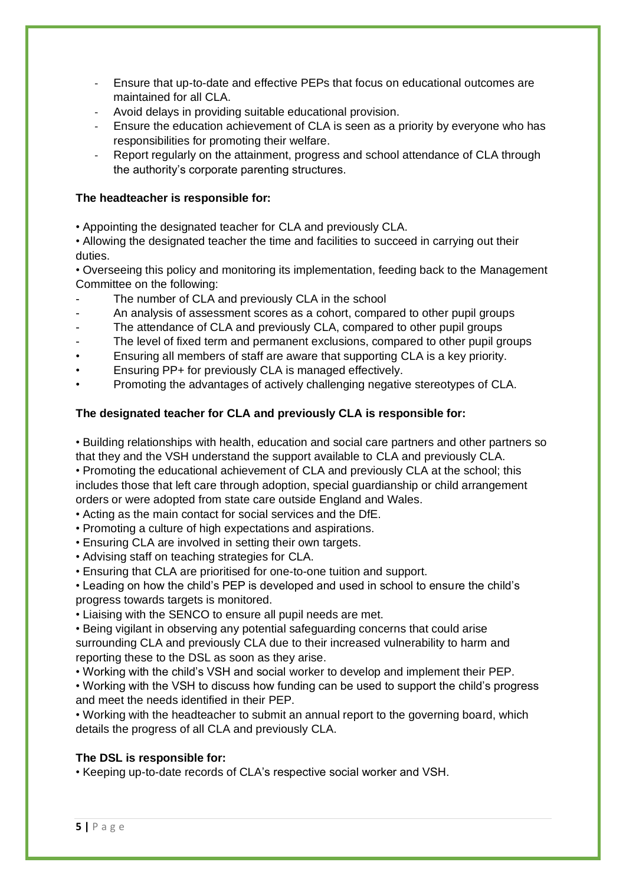- Ensure that up-to-date and effective PEPs that focus on educational outcomes are maintained for all CLA.
- Avoid delays in providing suitable educational provision.
- Ensure the education achievement of CLA is seen as a priority by everyone who has responsibilities for promoting their welfare.
- Report regularly on the attainment, progress and school attendance of CLA through the authority's corporate parenting structures.

#### **The headteacher is responsible for:**

• Appointing the designated teacher for CLA and previously CLA.

• Allowing the designated teacher the time and facilities to succeed in carrying out their duties.

• Overseeing this policy and monitoring its implementation, feeding back to the Management Committee on the following:

- The number of CLA and previously CLA in the school
- An analysis of assessment scores as a cohort, compared to other pupil groups
- The attendance of CLA and previously CLA, compared to other pupil groups
- The level of fixed term and permanent exclusions, compared to other pupil groups
- Ensuring all members of staff are aware that supporting CLA is a key priority.
- Ensuring PP+ for previously CLA is managed effectively.
- Promoting the advantages of actively challenging negative stereotypes of CLA.

#### **The designated teacher for CLA and previously CLA is responsible for:**

• Building relationships with health, education and social care partners and other partners so that they and the VSH understand the support available to CLA and previously CLA.

• Promoting the educational achievement of CLA and previously CLA at the school; this includes those that left care through adoption, special guardianship or child arrangement orders or were adopted from state care outside England and Wales.

• Acting as the main contact for social services and the DfE.

- Promoting a culture of high expectations and aspirations.
- Ensuring CLA are involved in setting their own targets.
- Advising staff on teaching strategies for CLA.

• Ensuring that CLA are prioritised for one-to-one tuition and support.

• Leading on how the child's PEP is developed and used in school to ensure the child's progress towards targets is monitored.

• Liaising with the SENCO to ensure all pupil needs are met.

• Being vigilant in observing any potential safeguarding concerns that could arise surrounding CLA and previously CLA due to their increased vulnerability to harm and reporting these to the DSL as soon as they arise.

• Working with the child's VSH and social worker to develop and implement their PEP.

• Working with the VSH to discuss how funding can be used to support the child's progress and meet the needs identified in their PEP.

• Working with the headteacher to submit an annual report to the governing board, which details the progress of all CLA and previously CLA.

#### **The DSL is responsible for:**

• Keeping up-to-date records of CLA's respective social worker and VSH.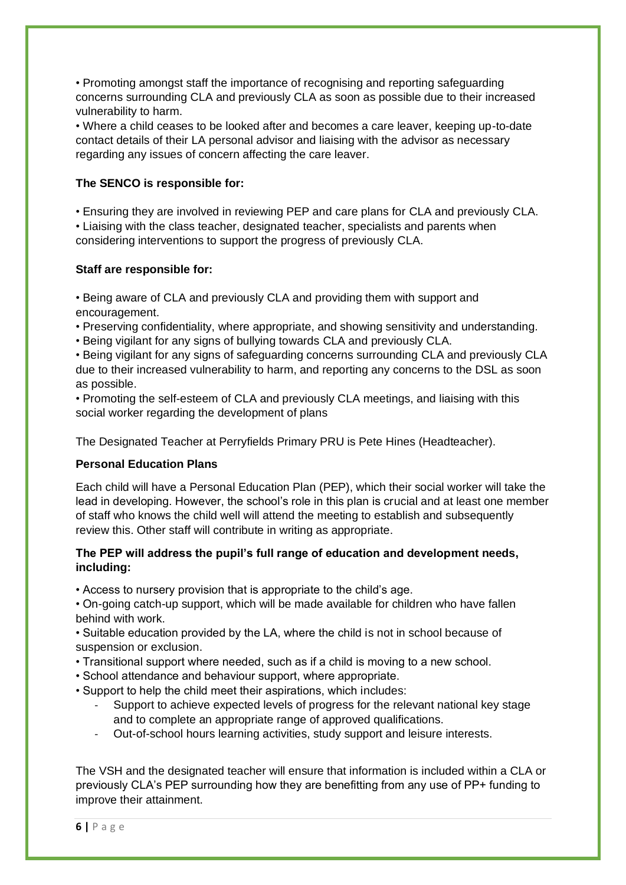• Promoting amongst staff the importance of recognising and reporting safeguarding concerns surrounding CLA and previously CLA as soon as possible due to their increased vulnerability to harm.

• Where a child ceases to be looked after and becomes a care leaver, keeping up-to-date contact details of their LA personal advisor and liaising with the advisor as necessary regarding any issues of concern affecting the care leaver.

#### **The SENCO is responsible for:**

• Ensuring they are involved in reviewing PEP and care plans for CLA and previously CLA. • Liaising with the class teacher, designated teacher, specialists and parents when considering interventions to support the progress of previously CLA.

#### **Staff are responsible for:**

• Being aware of CLA and previously CLA and providing them with support and encouragement.

• Preserving confidentiality, where appropriate, and showing sensitivity and understanding.

• Being vigilant for any signs of bullying towards CLA and previously CLA.

• Being vigilant for any signs of safeguarding concerns surrounding CLA and previously CLA due to their increased vulnerability to harm, and reporting any concerns to the DSL as soon as possible.

• Promoting the self-esteem of CLA and previously CLA meetings, and liaising with this social worker regarding the development of plans

The Designated Teacher at Perryfields Primary PRU is Pete Hines (Headteacher).

#### **Personal Education Plans**

Each child will have a Personal Education Plan (PEP), which their social worker will take the lead in developing. However, the school's role in this plan is crucial and at least one member of staff who knows the child well will attend the meeting to establish and subsequently review this. Other staff will contribute in writing as appropriate.

#### **The PEP will address the pupil's full range of education and development needs, including:**

• Access to nursery provision that is appropriate to the child's age.

• On-going catch-up support, which will be made available for children who have fallen behind with work.

• Suitable education provided by the LA, where the child is not in school because of suspension or exclusion.

- Transitional support where needed, such as if a child is moving to a new school.
- School attendance and behaviour support, where appropriate.
- Support to help the child meet their aspirations, which includes:
	- Support to achieve expected levels of progress for the relevant national key stage and to complete an appropriate range of approved qualifications.
	- Out-of-school hours learning activities, study support and leisure interests.

The VSH and the designated teacher will ensure that information is included within a CLA or previously CLA's PEP surrounding how they are benefitting from any use of PP+ funding to improve their attainment.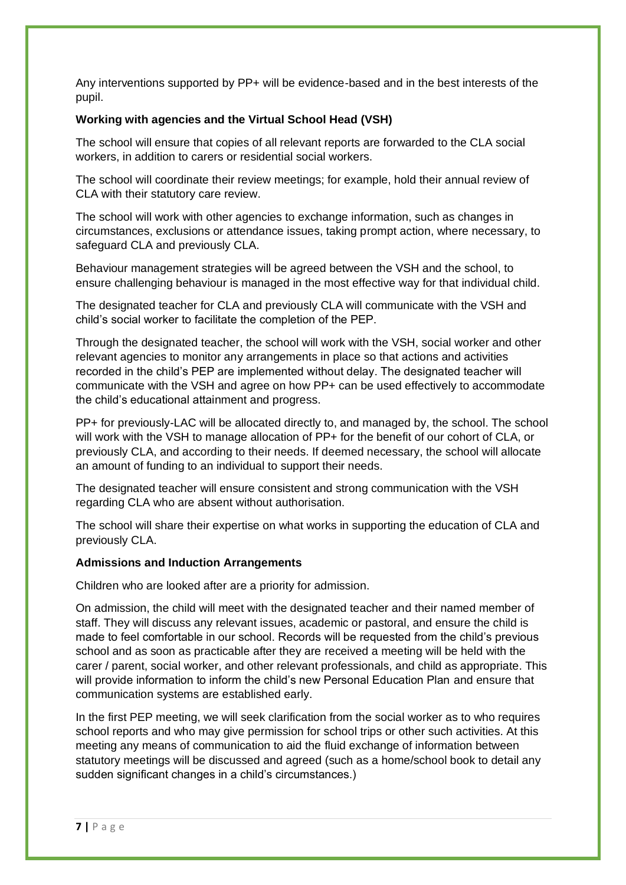Any interventions supported by PP+ will be evidence-based and in the best interests of the pupil.

#### **Working with agencies and the Virtual School Head (VSH)**

The school will ensure that copies of all relevant reports are forwarded to the CLA social workers, in addition to carers or residential social workers.

The school will coordinate their review meetings; for example, hold their annual review of CLA with their statutory care review.

The school will work with other agencies to exchange information, such as changes in circumstances, exclusions or attendance issues, taking prompt action, where necessary, to safeguard CLA and previously CLA.

Behaviour management strategies will be agreed between the VSH and the school, to ensure challenging behaviour is managed in the most effective way for that individual child.

The designated teacher for CLA and previously CLA will communicate with the VSH and child's social worker to facilitate the completion of the PEP.

Through the designated teacher, the school will work with the VSH, social worker and other relevant agencies to monitor any arrangements in place so that actions and activities recorded in the child's PEP are implemented without delay. The designated teacher will communicate with the VSH and agree on how PP+ can be used effectively to accommodate the child's educational attainment and progress.

PP+ for previously-LAC will be allocated directly to, and managed by, the school. The school will work with the VSH to manage allocation of PP+ for the benefit of our cohort of CLA, or previously CLA, and according to their needs. If deemed necessary, the school will allocate an amount of funding to an individual to support their needs.

The designated teacher will ensure consistent and strong communication with the VSH regarding CLA who are absent without authorisation.

The school will share their expertise on what works in supporting the education of CLA and previously CLA.

#### **Admissions and Induction Arrangements**

Children who are looked after are a priority for admission.

On admission, the child will meet with the designated teacher and their named member of staff. They will discuss any relevant issues, academic or pastoral, and ensure the child is made to feel comfortable in our school. Records will be requested from the child's previous school and as soon as practicable after they are received a meeting will be held with the carer / parent, social worker, and other relevant professionals, and child as appropriate. This will provide information to inform the child's new Personal Education Plan and ensure that communication systems are established early.

In the first PEP meeting, we will seek clarification from the social worker as to who requires school reports and who may give permission for school trips or other such activities. At this meeting any means of communication to aid the fluid exchange of information between statutory meetings will be discussed and agreed (such as a home/school book to detail any sudden significant changes in a child's circumstances.)